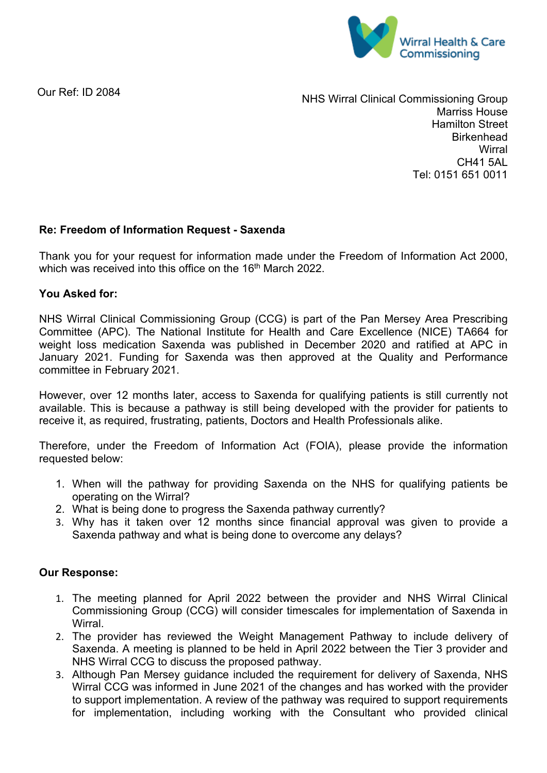

Our Ref: ID 2084

NHS Wirral Clinical Commissioning Group Marriss House Hamilton Street **Birkenhead Wirral** CH41 5AL Tel: 0151 651 0011

## **Re: Freedom of Information Request - Saxenda**

Thank you for your request for information made under the Freedom of Information Act 2000, which was received into this office on the 16<sup>th</sup> March 2022.

## **You Asked for:**

NHS Wirral Clinical Commissioning Group (CCG) is part of the Pan Mersey Area Prescribing Committee (APC). The National Institute for Health and Care Excellence (NICE) TA664 for weight loss medication Saxenda was published in December 2020 and ratified at APC in January 2021. Funding for Saxenda was then approved at the Quality and Performance committee in February 2021.

However, over 12 months later, access to Saxenda for qualifying patients is still currently not available. This is because a pathway is still being developed with the provider for patients to receive it, as required, frustrating, patients, Doctors and Health Professionals alike.

Therefore, under the Freedom of Information Act (FOIA), please provide the information requested below:

- 1. When will the pathway for providing Saxenda on the NHS for qualifying patients be operating on the Wirral?
- 2. What is being done to progress the Saxenda pathway currently?
- 3. Why has it taken over 12 months since financial approval was given to provide a Saxenda pathway and what is being done to overcome any delays?

## **Our Response:**

- 1. The meeting planned for April 2022 between the provider and NHS Wirral Clinical Commissioning Group (CCG) will consider timescales for implementation of Saxenda in Wirral.
- 2. The provider has reviewed the Weight Management Pathway to include delivery of Saxenda. A meeting is planned to be held in April 2022 between the Tier 3 provider and NHS Wirral CCG to discuss the proposed pathway.
- 3. Although Pan Mersey guidance included the requirement for delivery of Saxenda, NHS Wirral CCG was informed in June 2021 of the changes and has worked with the provider to support implementation. A review of the pathway was required to support requirements for implementation, including working with the Consultant who provided clinical